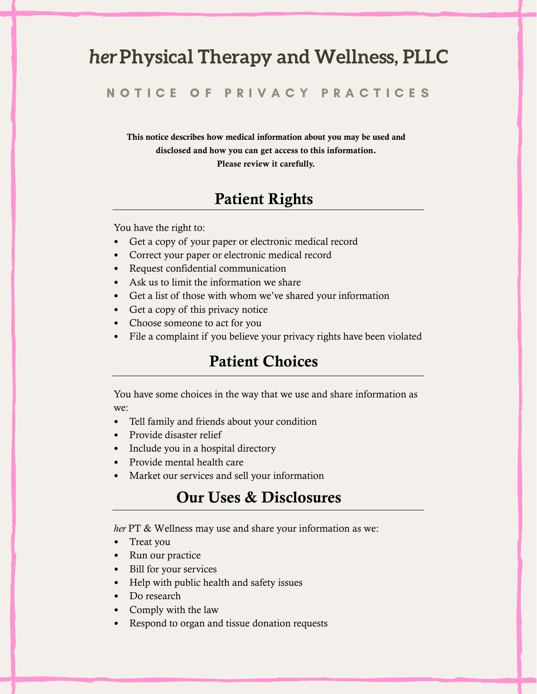### N O T I C E O F P R I V A C Y P R A C T I C E S

This notice describes how medical information about you may be used and disclosed and how you can get access to this information. Please review it carefully.

### Patient Rights

You have the right to:

- Get a copy of your paper or electronic medical record
- Correct your paper or electronic medical record
- Request confidential communication
- Ask us to limit the information we share
- Get a list of those with whom we've shared your information
- Get a copy of this privacy notice
- Choose someone to act for you
- File a complaint if you believe your privacy rights have been violated

### Patient Choices

You have some choices in the way that we use and share information as we:

- Tell family and friends about your condition
- Provide disaster relief
- Include you in a hospital directory
- Provide mental health care
- Market our services and sell your information

### Our Uses & Disclosures

*her* PT & Wellness may use and share your information as we:

- Treat you
- Run our practice
- Bill for your services
- Help with public health and safety issues
- Do research
- Comply with the law
- Respond to organ and tissue donation requests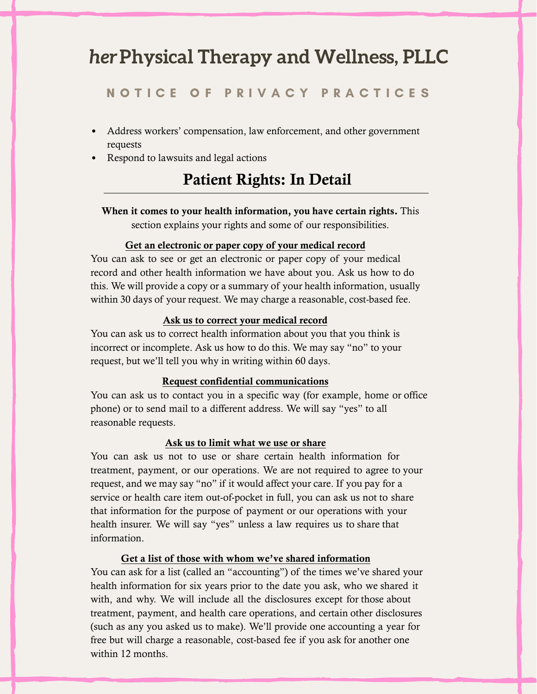### N O T I C E O F P R I V A C Y P R A C T I C E S

- Address workers' compensation, law enforcement, and other government requests
- Respond to lawsuits and legal actions

### Patient Rights: In Detail

When it comes to your health information, you have certain rights. This section explains your rights and some of our responsibilities.

#### Get an electronic or paper copy of your medical record

You can ask to see or get an electronic or paper copy of your medical record and other health information we have about you. Ask us how to do this. We will provide a copy or a summary of your health information, usually within 30 days of your request. We may charge a reasonable, cost-based fee.

### Ask us to correct your medical record

You can ask us to correct health information about you that you think is incorrect or incomplete. Ask us how to do this. We may say "no" to your request, but we'll tell you why in writing within 60 days.

#### Request confidential communications

You can ask us to contact you in a specific way (for example, home or office phone) or to send mail to a different address. We will say "yes" to all reasonable requests.

#### Ask us to limit what we use or share

You can ask us not to use or share certain health information for treatment, payment, or our operations. We are not required to agree to your request, and we may say "no" if it would affect your care. If you pay for a service or health care item out-of-pocket in full, you can ask us not to share that information for the purpose of payment or our operations with your health insurer. We will say "yes" unless a law requires us to share that information.

#### Get a list of those with whom we've shared information

You can ask for a list (called an "accounting") of the times we've shared your health information for six years prior to the date you ask, who we shared it with, and why. We will include all the disclosures except for those about treatment, payment, and health care operations, and certain other disclosures (such as any you asked us to make). We'll provide one accounting a year for free but will charge a reasonable, cost-based fee if you ask for another one within 12 months.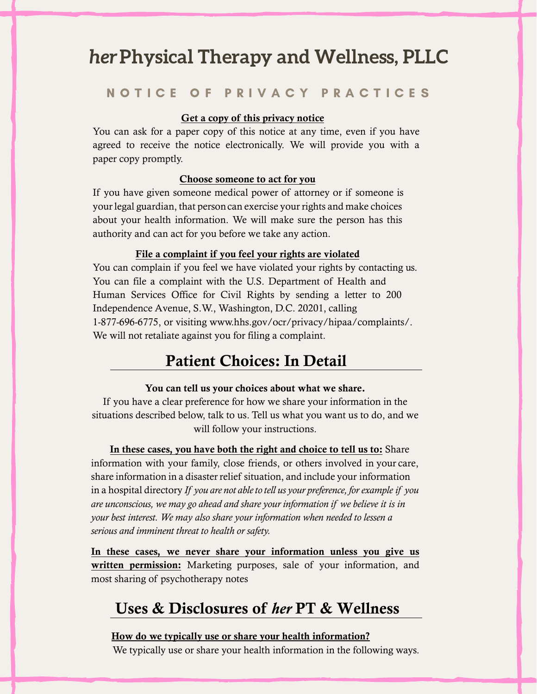### NOTICE OF PRIVACY PRACTICES

### Get a copy of this privacy notice

You can ask for a paper copy of this notice at any time, even if you have agreed to receive the notice electronically. We will provide you with a paper copy promptly.

#### Choose someone to act for you

If you have given someone medical power of attorney or if someone is your legal guardian, that personcan exercise your rights and make choices about your health information. We will make sure the person has this authority and can act for you before we take any action.

#### File a complaint if you feel your rights are violated

You can complain if you feel we have violated your rights by contacting us. You can file a complaint with the U.S. Department of Health and Human Services Office for Civil Rights by sending a letter to 200 Independence Avenue, S.W., Washington, D.C. 20201, calling 1-877-696-6775, or visiting www.hhs.gov/ocr/privacy/hipaa/complaints/. We will not retaliate against you for filing a complaint.

### Patient Choices: In Detail

#### You can tell us your choices about what we share.

If you have a clear preference for how we share your information in the situations described below, talk to us. Tell us what you want us to do, and we will follow your instructions.

In these cases, you have both the right and choice to tell us to: Share information with your family, close friends, or others involved in your care, share information in a disaster relief situation, and include your information in a hospital directory *If you are not able to tell us your preference, for example if you are unconscious, we may go ahead and share your information if we believe it is in your best interest. We may also share your information when needed to lessen a serious and imminent threat to health or safety.*

In these cases, we never share your information unless you give us written permission: Marketing purposes, sale of your information, and most sharing of psychotherapy notes

### Uses & Disclosures of *her* PT & Wellness

How do we typically use or share your health information? We typically use or share your health information in the following ways.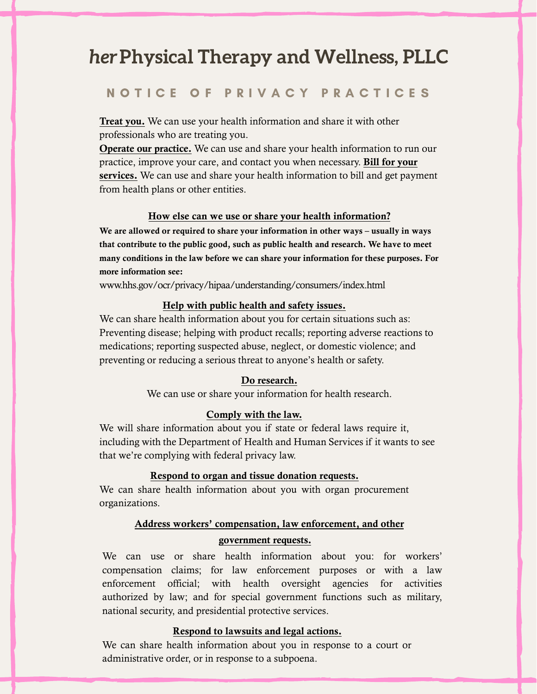### NOTICE OF PRIVACY PRACTICES

Treat you. We can use your health information and share it with other professionals who are treating you.

Operate our practice. We can use and share your health information to run our practice, improve your care, and contact you when necessary. Bill for your services. We can use and share your health information to bill and get payment from health plans or other entities.

#### How else can we use or share your health information?

We are allowed or required to share your information in other ways – usually in ways that contribute to the public good, such as public health and research. We have to meet many conditions in the law before we can share your information for these purposes. For more information see:

www.hhs.gov/ocr/privacy/hipaa/understanding/consumers/index.html

### Help with public health and safety issues.

We can share health information about you for certain situations such as: Preventing disease; helping with product recalls; reporting adverse reactions to medications; reporting suspected abuse, neglect, or domestic violence; and preventing or reducing a serious threat to anyone's health or safety.

### Do research.

We can use or share your information for health research.

#### Comply with the law.

We will share information about you if state or federal laws require it, including with the Department of Health and Human Services if it wants to see that we're complying with federal privacy law.

#### Respond to organ and tissue donation requests.

We can share health information about you with organ procurement organizations.

### Address workers' compensation, law enforcement, and other government requests.

We can use or share health information about you: for workers' compensation claims; for law enforcement purposes or with a law enforcement official; with health oversight agencies for activities authorized by law; and for special government functions such as military, national security, and presidential protective services.

#### Respond to lawsuits and legal actions.

We can share health information about you in response to a court or administrative order, or in response to a subpoena.